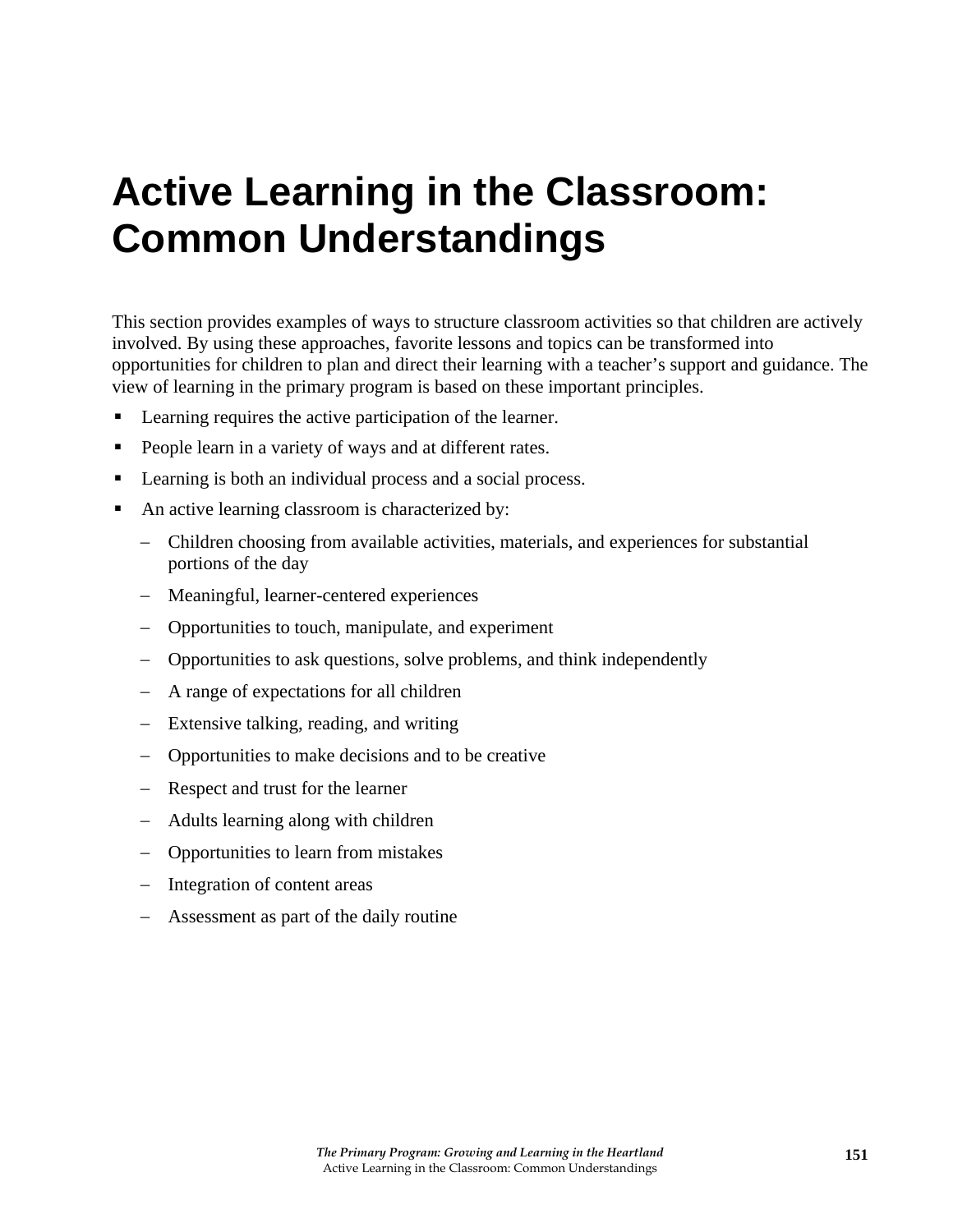# **Active Learning in the Classroom: Common Understandings**

This section provides examples of ways to structure classroom activities so that children are actively involved. By using these approaches, favorite lessons and topics can be transformed into opportunities for children to plan and direct their learning with a teacher's support and guidance. The view of learning in the primary program is based on these important principles.

- Learning requires the active participation of the learner.
- People learn in a variety of ways and at different rates.
- **Learning is both an individual process and a social process.**
- An active learning classroom is characterized by:
	- − Children choosing from available activities, materials, and experiences for substantial portions of the day
	- − Meaningful, learner-centered experiences
	- − Opportunities to touch, manipulate, and experiment
	- − Opportunities to ask questions, solve problems, and think independently
	- − A range of expectations for all children
	- − Extensive talking, reading, and writing
	- − Opportunities to make decisions and to be creative
	- − Respect and trust for the learner
	- − Adults learning along with children
	- − Opportunities to learn from mistakes
	- − Integration of content areas
	- − Assessment as part of the daily routine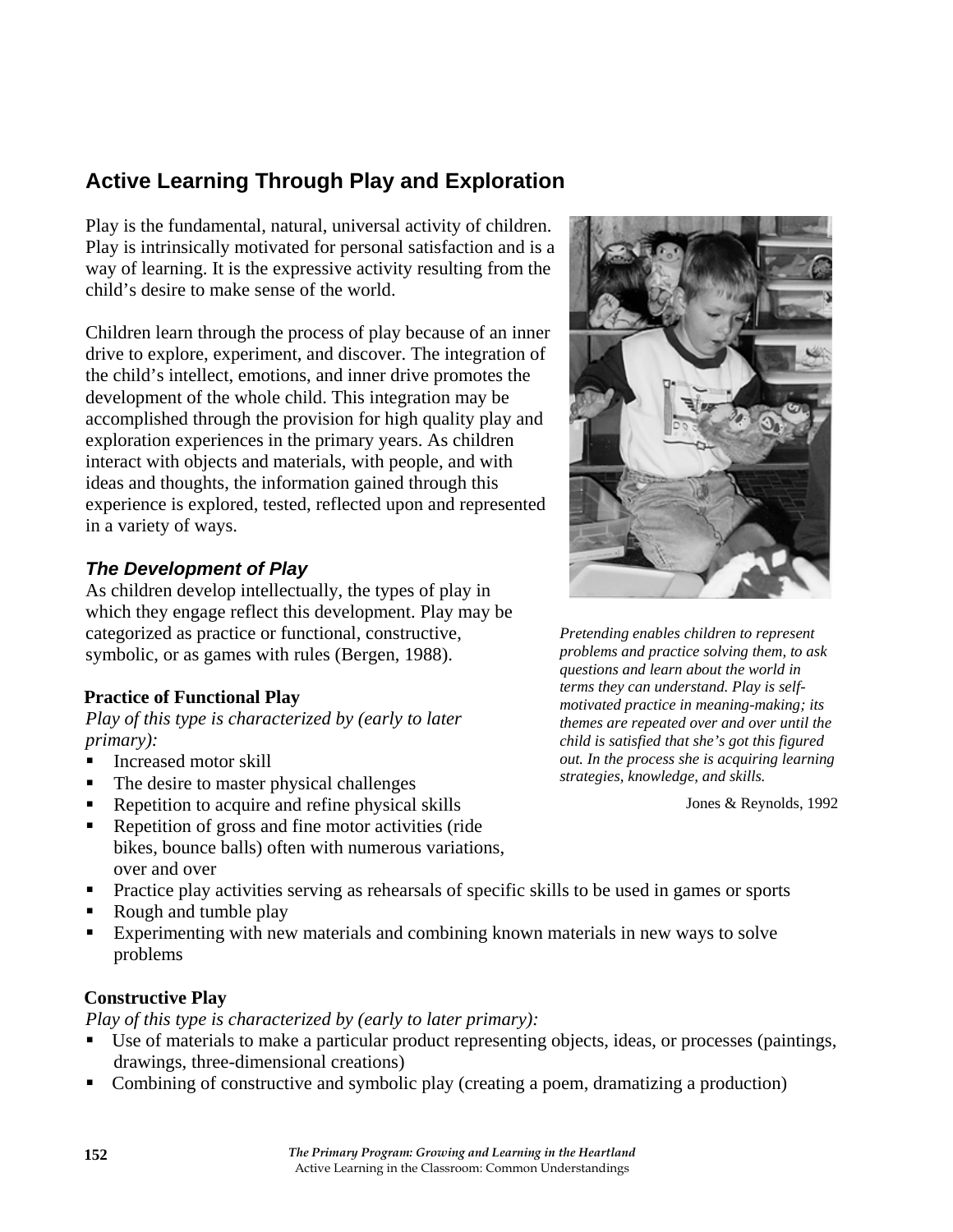# **Active Learning Through Play and Exploration**

Play is the fundamental, natural, universal activity of children. Play is intrinsically motivated for personal satisfaction and is a way of learning. It is the expressive activity resulting from the child's desire to make sense of the world.

Children learn through the process of play because of an inner drive to explore, experiment, and discover. The integration of the child's intellect, emotions, and inner drive promotes the development of the whole child. This integration may be accomplished through the provision for high quality play and exploration experiences in the primary years. As children interact with objects and materials, with people, and with ideas and thoughts, the information gained through this experience is explored, tested, reflected upon and represented in a variety of ways.

## *The Development of Play*

As children develop intellectually, the types of play in which they engage reflect this development. Play may be categorized as practice or functional, constructive, symbolic, or as games with rules (Bergen, 1988).

#### **Practice of Functional Play**

*Play of this type is characterized by (early to later primary):* 

- Increased motor skill
- The desire to master physical challenges
- Repetition to acquire and refine physical skills
- Repetition of gross and fine motor activities (ride bikes, bounce balls) often with numerous variations, over and over
- **Practice play activities serving as rehearsals of specific skills to be used in games or sports**
- Rough and tumble play
- Experimenting with new materials and combining known materials in new ways to solve problems

#### **Constructive Play**

*Play of this type is characterized by (early to later primary):* 

- Use of materials to make a particular product representing objects, ideas, or processes (paintings, drawings, three-dimensional creations)
- Combining of constructive and symbolic play (creating a poem, dramatizing a production)



*Pretending enables children to represent problems and practice solving them, to ask questions and learn about the world in terms they can understand. Play is selfmotivated practice in meaning-making; its themes are repeated over and over until the child is satisfied that she's got this figured out. In the process she is acquiring learning strategies, knowledge, and skills.* 

Jones & Reynolds, 1992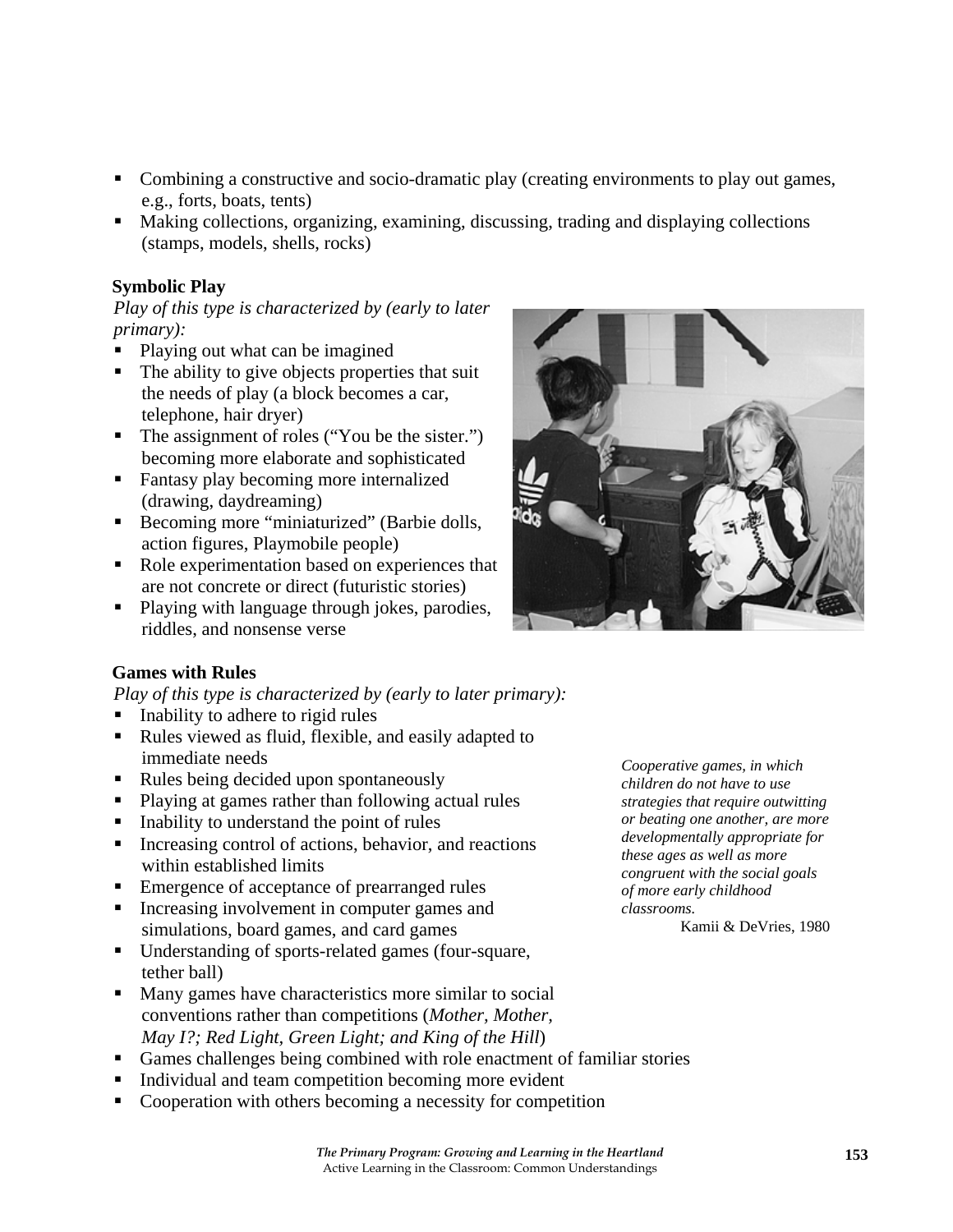- Cooperation with others becoming a necessity for competition
	- *The Primary Program: Growing and Learning in the Heartland*  Active Learning in the Classroom: Common Understandings

e.g., forts, boats, tents) Making collections, organizing, examining, discussing, trading and displaying collections (stamps, models, shells, rocks)

• Combining a constructive and socio-dramatic play (creating environments to play out games,

# **Symbolic Play**

*Play of this type is characterized by (early to later primary):* 

- Playing out what can be imagined
- $\blacksquare$  The ability to give objects properties that suit the needs of play (a block becomes a car, telephone, hair dryer)
- The assignment of roles ("You be the sister.") becoming more elaborate and sophisticated
- **Fantasy play becoming more internalized** (drawing, daydreaming)
- Becoming more "miniaturized" (Barbie dolls, action figures, Playmobile people)
- Role experimentation based on experiences that are not concrete or direct (futuristic stories)
- Playing with language through jokes, parodies, riddles, and nonsense verse



*Cooperative games, in which children do not have to use strategies that require outwitting or beating one another, are more developmentally appropriate for these ages as well as more congruent with the social goals of more early childhood* 

Kamii & DeVries, 1980

# **Games with Rules**

*Play of this type is characterized by (early to later primary):* 

- Inability to adhere to rigid rules
- Rules viewed as fluid, flexible, and easily adapted to immediate needs
- Rules being decided upon spontaneously
- Playing at games rather than following actual rules
- Inability to understand the point of rules
- $\blacksquare$  Increasing control of actions, behavior, and reactions within established limits
- Emergence of acceptance of prearranged rules
- Increasing involvement in computer games and simulations, board games, and card games
- Understanding of sports-related games (four-square, tether ball)
- Many games have characteristics more similar to social conventions rather than competitions (*Mother, Mother, May I?; Red Light, Green Light; and King of the Hill*)
- Games challenges being combined with role enactment of familiar stories
- Individual and team competition becoming more evident
- 

*classrooms.*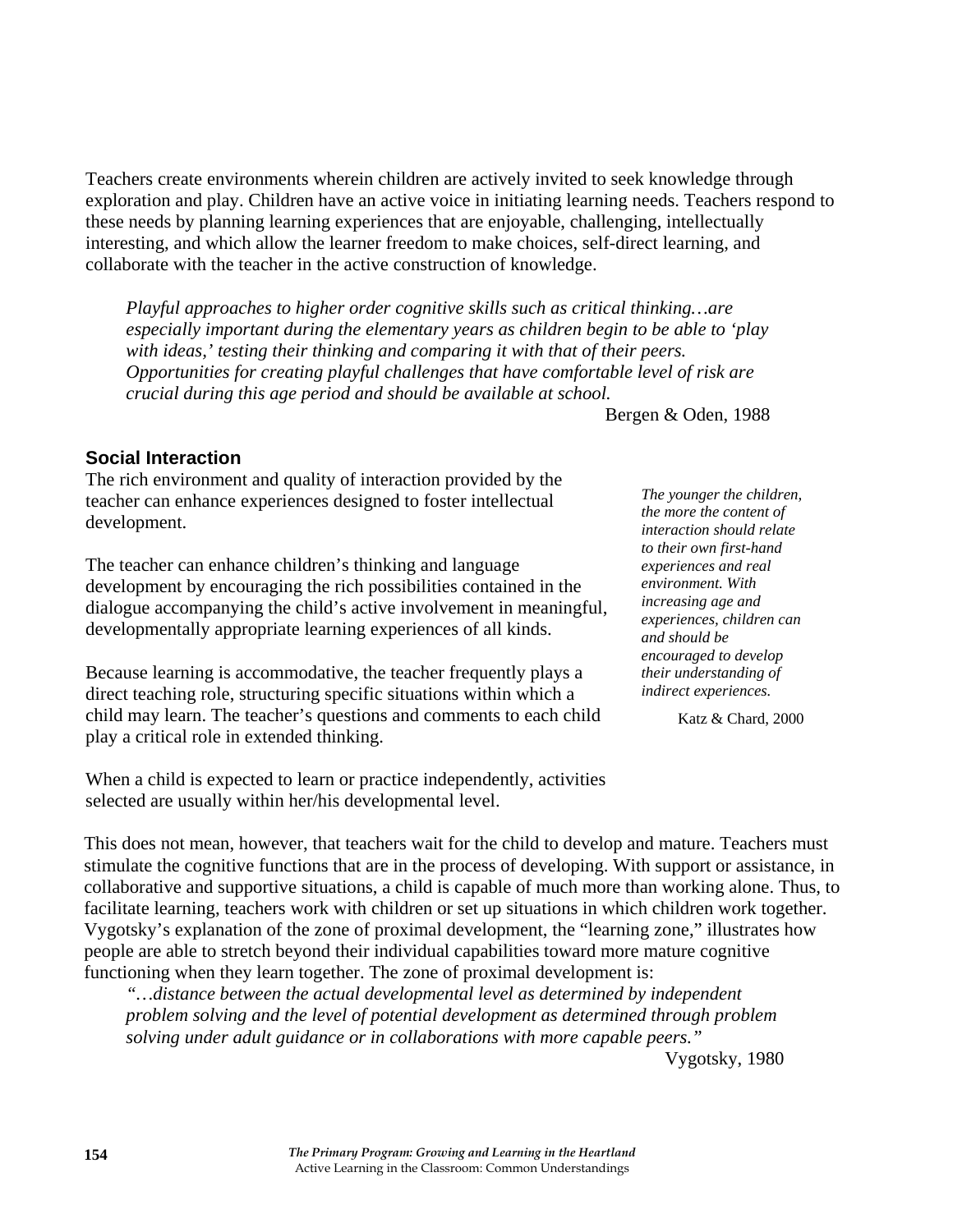Teachers create environments wherein children are actively invited to seek knowledge through exploration and play. Children have an active voice in initiating learning needs. Teachers respond to these needs by planning learning experiences that are enjoyable, challenging, intellectually interesting, and which allow the learner freedom to make choices, self-direct learning, and collaborate with the teacher in the active construction of knowledge.

*Playful approaches to higher order cognitive skills such as critical thinking…are especially important during the elementary years as children begin to be able to 'play with ideas,' testing their thinking and comparing it with that of their peers. Opportunities for creating playful challenges that have comfortable level of risk are crucial during this age period and should be available at school.* 

Bergen & Oden, 1988

#### **Social Interaction**

The rich environment and quality of interaction provided by the teacher can enhance experiences designed to foster intellectual development.

The teacher can enhance children's thinking and language development by encouraging the rich possibilities contained in the dialogue accompanying the child's active involvement in meaningful, developmentally appropriate learning experiences of all kinds.

Because learning is accommodative, the teacher frequently plays a direct teaching role, structuring specific situations within which a child may learn. The teacher's questions and comments to each child play a critical role in extended thinking.

When a child is expected to learn or practice independently, activities selected are usually within her/his developmental level.

*The younger the children, the more the content of interaction should relate to their own first-hand experiences and real environment. With increasing age and experiences, children can and should be encouraged to develop their understanding of indirect experiences.* 

Katz & Chard, 2000

This does not mean, however, that teachers wait for the child to develop and mature. Teachers must stimulate the cognitive functions that are in the process of developing. With support or assistance, in collaborative and supportive situations, a child is capable of much more than working alone. Thus, to facilitate learning, teachers work with children or set up situations in which children work together. Vygotsky's explanation of the zone of proximal development, the "learning zone," illustrates how people are able to stretch beyond their individual capabilities toward more mature cognitive functioning when they learn together. The zone of proximal development is:

*"…distance between the actual developmental level as determined by independent problem solving and the level of potential development as determined through problem solving under adult guidance or in collaborations with more capable peers."* 

Vygotsky, 1980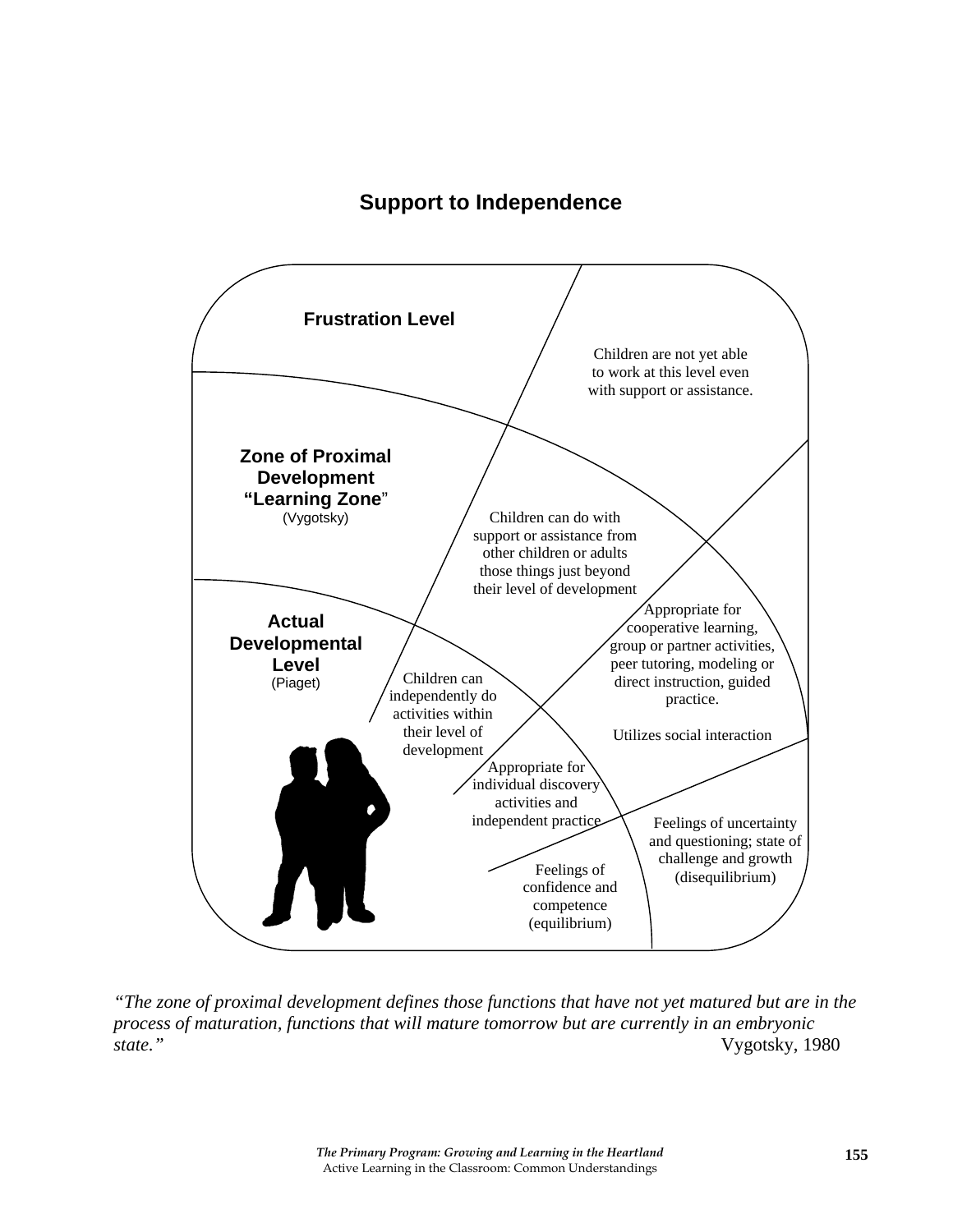# **Support to Independence**



*"The zone of proximal development defines those functions that have not yet matured but are in the process of maturation, functions that will mature tomorrow but are currently in an embryonic state."* Vygotsky, 1980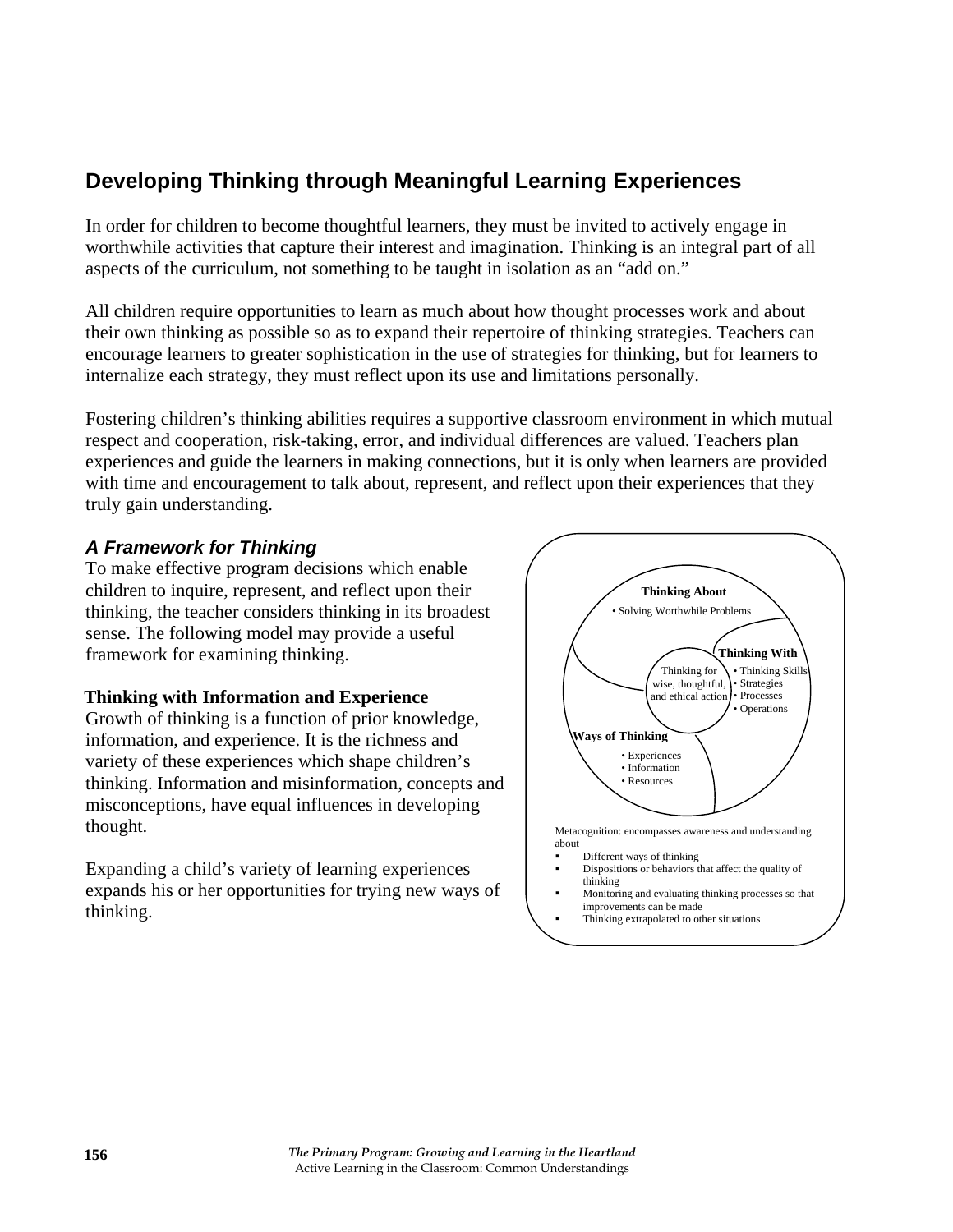# **Developing Thinking through Meaningful Learning Experiences**

In order for children to become thoughtful learners, they must be invited to actively engage in worthwhile activities that capture their interest and imagination. Thinking is an integral part of all aspects of the curriculum, not something to be taught in isolation as an "add on."

All children require opportunities to learn as much about how thought processes work and about their own thinking as possible so as to expand their repertoire of thinking strategies. Teachers can encourage learners to greater sophistication in the use of strategies for thinking, but for learners to internalize each strategy, they must reflect upon its use and limitations personally.

Fostering children's thinking abilities requires a supportive classroom environment in which mutual respect and cooperation, risk-taking, error, and individual differences are valued. Teachers plan experiences and guide the learners in making connections, but it is only when learners are provided with time and encouragement to talk about, represent, and reflect upon their experiences that they truly gain understanding.

#### *A Framework for Thinking*

To make effective program decisions which enable children to inquire, represent, and reflect upon their thinking, the teacher considers thinking in its broadest sense. The following model may provide a useful framework for examining thinking.

#### **Thinking with Information and Experience**

Growth of thinking is a function of prior knowledge, information, and experience. It is the richness and variety of these experiences which shape children's thinking. Information and misinformation, concepts and misconceptions, have equal influences in developing thought.

Expanding a child's variety of learning experiences expands his or her opportunities for trying new ways of thinking.

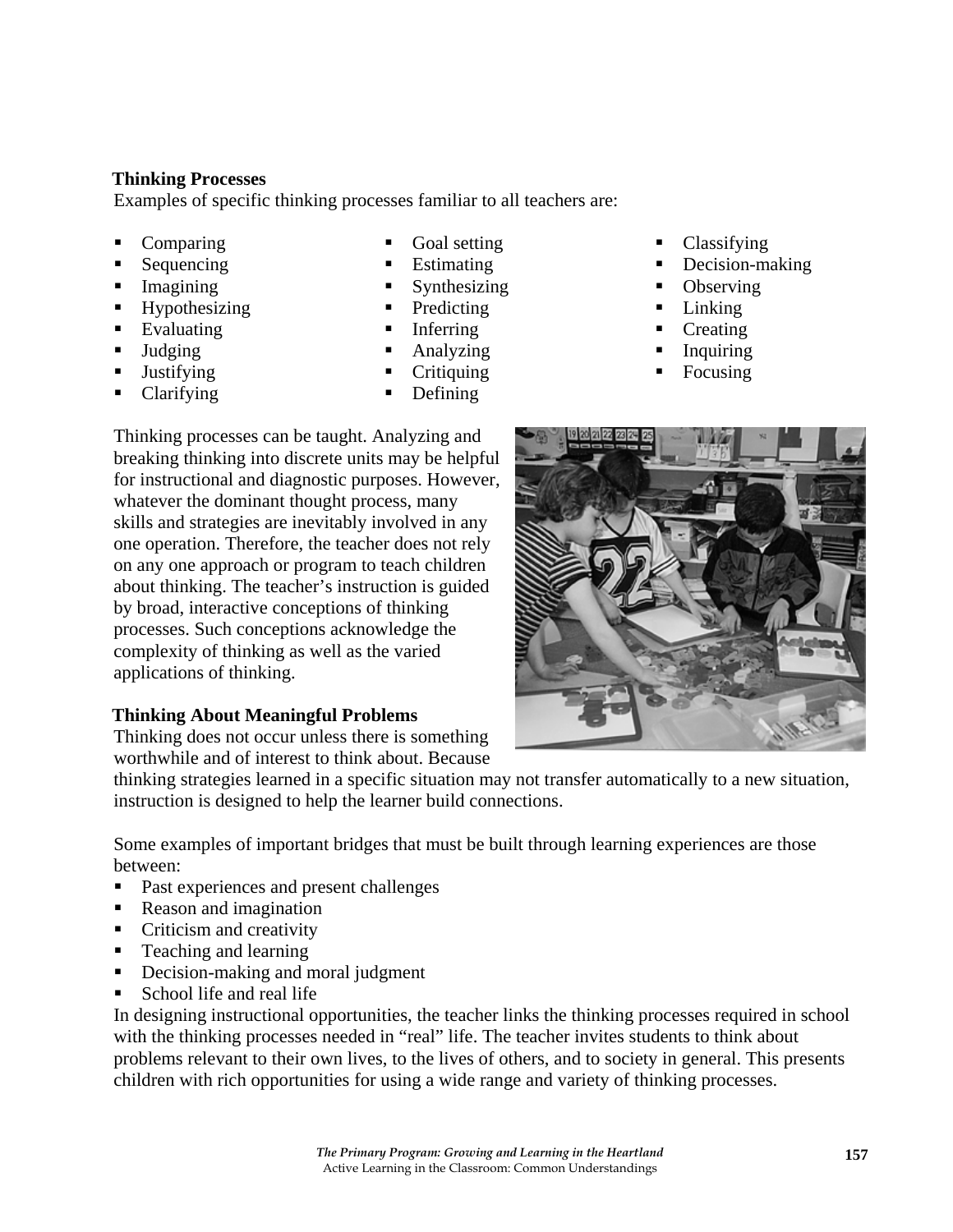#### **Thinking Processes**

Examples of specific thinking processes familiar to all teachers are:

- Comparing
- Sequencing
- Imagining
- **Hypothesizing**
- **Evaluating**
- **Judging**
- **Justifying**
- Clarifying
- Goal setting
- **Estimating**
- Synthesizing
- Predicting
- Inferring
- Analyzing
- **Critiquing**
- Defining
- Classifying
- Decision-making
- **Observing**
- **Linking**
- **Creating**
- Inquiring
- Focusing



#### **Thinking About Meaningful Problems**

Thinking does not occur unless there is something worthwhile and of interest to think about. Because

thinking strategies learned in a specific situation may not transfer automatically to a new situation, instruction is designed to help the learner build connections.

Some examples of important bridges that must be built through learning experiences are those between:

- Past experiences and present challenges
- Reason and imagination
- Criticism and creativity
- **Teaching and learning**
- Decision-making and moral judgment
- School life and real life

In designing instructional opportunities, the teacher links the thinking processes required in school with the thinking processes needed in "real" life. The teacher invites students to think about problems relevant to their own lives, to the lives of others, and to society in general. This presents children with rich opportunities for using a wide range and variety of thinking processes.



*The Primary Program: Growing and Learning in the Heartland*  Active Learning in the Classroom: Common Understandings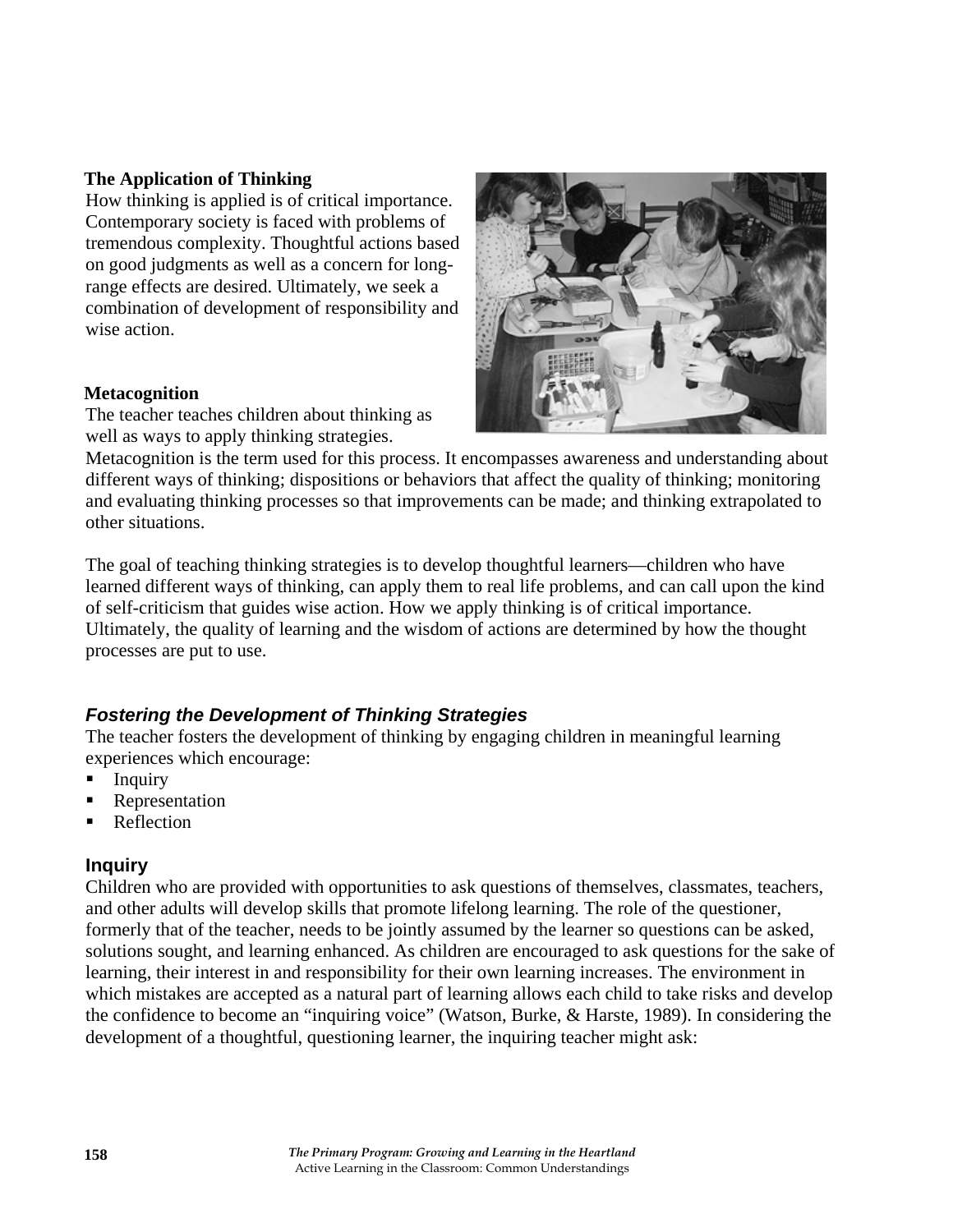#### **The Application of Thinking**

How thinking is applied is of critical importance. Contemporary society is faced with problems of tremendous complexity. Thoughtful actions based on good judgments as well as a concern for longrange effects are desired. Ultimately, we seek a combination of development of responsibility and wise action.

#### **Metacognition**

The teacher teaches children about thinking as well as ways to apply thinking strategies.



Metacognition is the term used for this process. It encompasses awareness and understanding about different ways of thinking; dispositions or behaviors that affect the quality of thinking; monitoring and evaluating thinking processes so that improvements can be made; and thinking extrapolated to other situations.

The goal of teaching thinking strategies is to develop thoughtful learners—children who have learned different ways of thinking, can apply them to real life problems, and can call upon the kind of self-criticism that guides wise action. How we apply thinking is of critical importance. Ultimately, the quality of learning and the wisdom of actions are determined by how the thought processes are put to use.

# *Fostering the Development of Thinking Strategies*

The teacher fosters the development of thinking by engaging children in meaningful learning experiences which encourage:

- **Inquiry**
- Representation
- Reflection

# **Inquiry**

Children who are provided with opportunities to ask questions of themselves, classmates, teachers, and other adults will develop skills that promote lifelong learning. The role of the questioner, formerly that of the teacher, needs to be jointly assumed by the learner so questions can be asked, solutions sought, and learning enhanced. As children are encouraged to ask questions for the sake of learning, their interest in and responsibility for their own learning increases. The environment in which mistakes are accepted as a natural part of learning allows each child to take risks and develop the confidence to become an "inquiring voice" (Watson, Burke, & Harste, 1989). In considering the development of a thoughtful, questioning learner, the inquiring teacher might ask: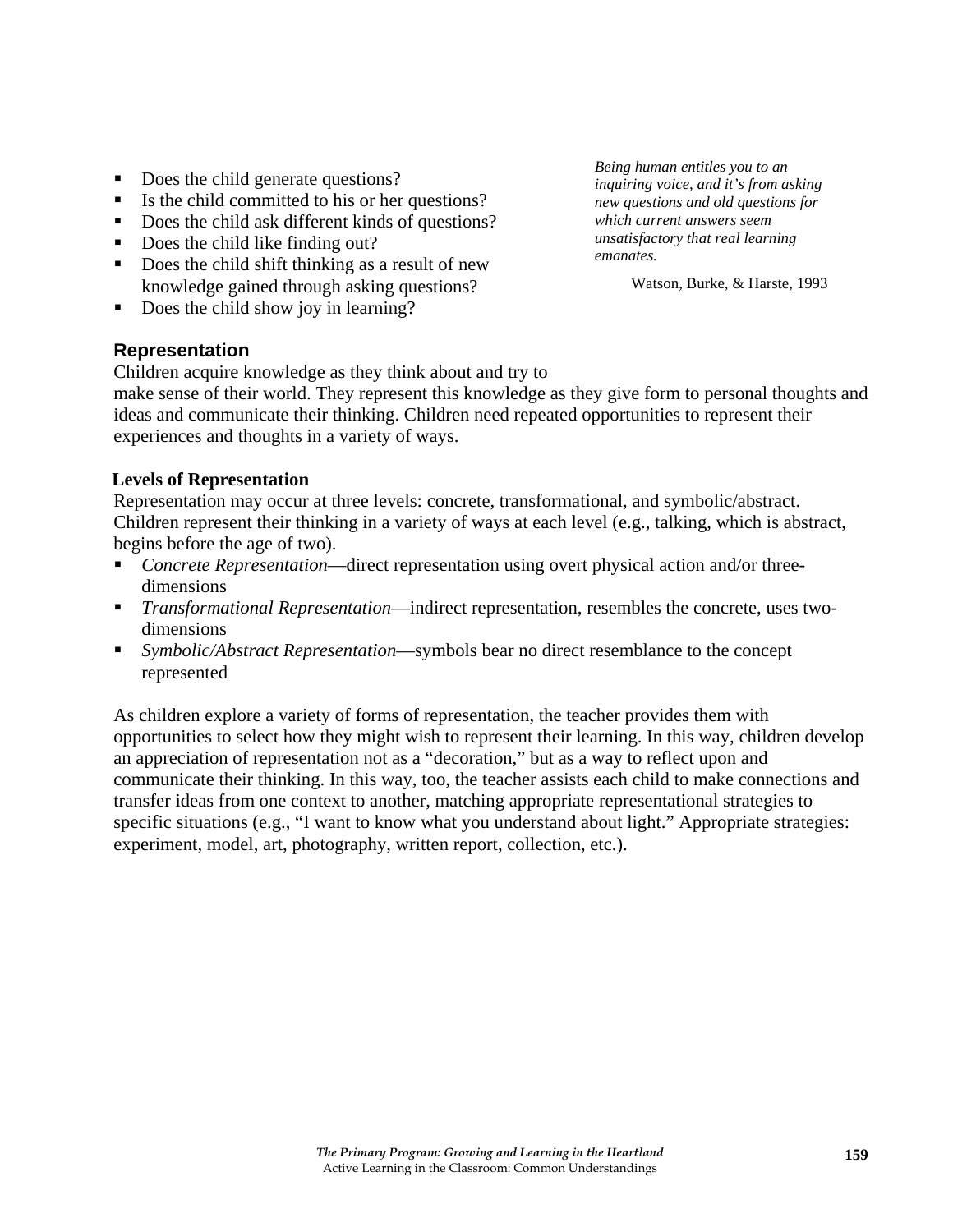- Does the child generate questions?
- Is the child committed to his or her questions?
- Does the child ask different kinds of questions?
- Does the child like finding out?
- Does the child shift thinking as a result of new knowledge gained through asking questions?
- Does the child show joy in learning?

#### **Representation**

Children acquire knowledge as they think about and try to

make sense of their world. They represent this knowledge as they give form to personal thoughts and ideas and communicate their thinking. Children need repeated opportunities to represent their experiences and thoughts in a variety of ways.

#### **Levels of Representation**

Representation may occur at three levels: concrete, transformational, and symbolic/abstract. Children represent their thinking in a variety of ways at each level (e.g., talking, which is abstract, begins before the age of two).

- *Concrete Representation*—direct representation using overt physical action and/or threedimensions
- *Transformational Representation*—indirect representation, resembles the concrete, uses twodimensions
- *Symbolic/Abstract Representation*—symbols bear no direct resemblance to the concept represented

As children explore a variety of forms of representation, the teacher provides them with opportunities to select how they might wish to represent their learning. In this way, children develop an appreciation of representation not as a "decoration," but as a way to reflect upon and communicate their thinking. In this way, too, the teacher assists each child to make connections and transfer ideas from one context to another, matching appropriate representational strategies to specific situations (e.g., "I want to know what you understand about light." Appropriate strategies: experiment, model, art, photography, written report, collection, etc.).

*Being human entitles you to an inquiring voice, and it's from asking new questions and old questions for which current answers seem unsatisfactory that real learning emanates.* 

Watson, Burke, & Harste, 1993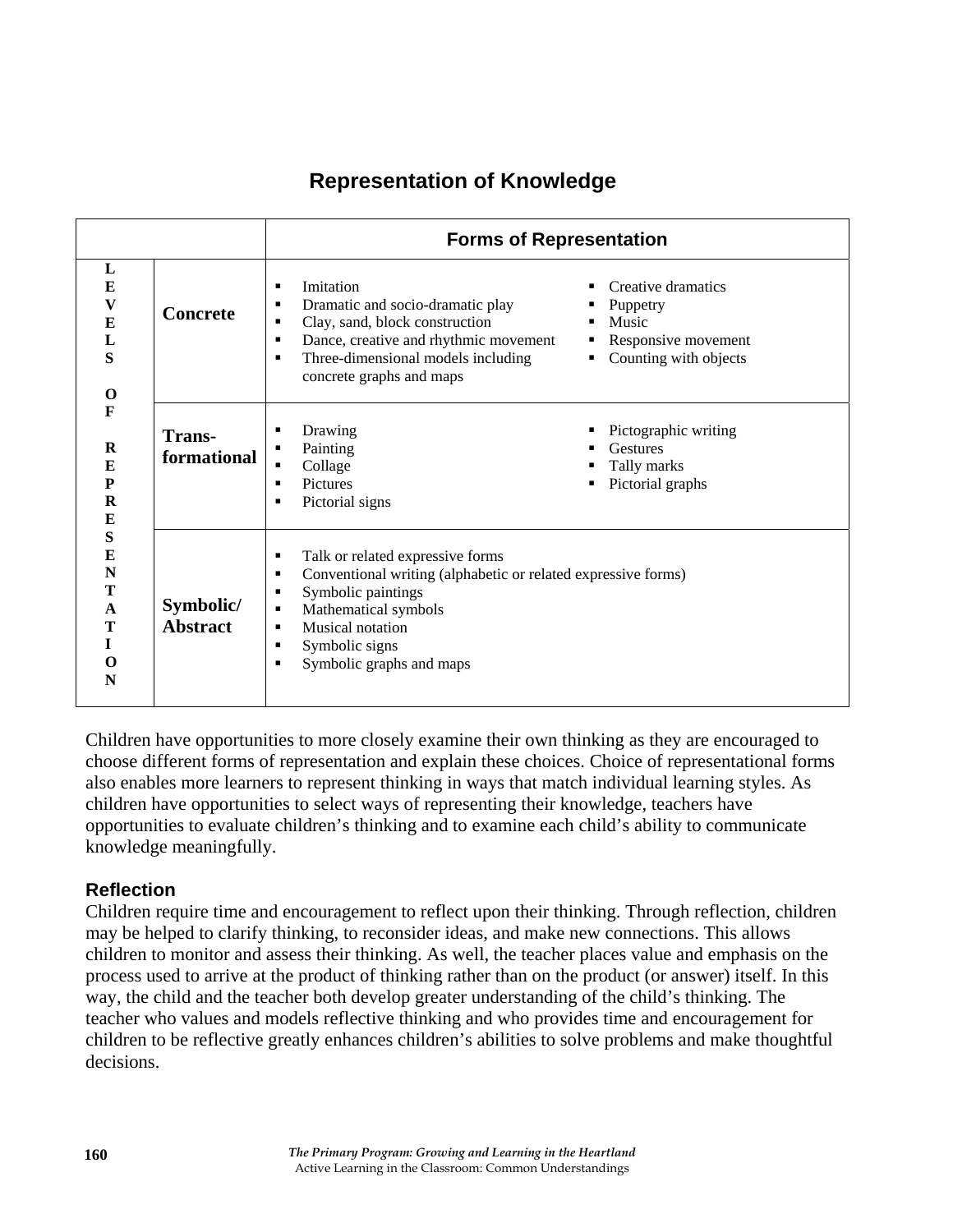# **Representation of Knowledge**

|                                                                                                                                   |                              | <b>Forms of Representation</b>                                                                                                                                                                                                                       |                                                                                         |
|-----------------------------------------------------------------------------------------------------------------------------------|------------------------------|------------------------------------------------------------------------------------------------------------------------------------------------------------------------------------------------------------------------------------------------------|-----------------------------------------------------------------------------------------|
| L<br>$\bf{E}$<br>$\boldsymbol{\mathrm{V}}$<br>$\bf{E}$<br>L<br>S<br>$\mathbf 0$<br>F<br>$\bf R$<br>E<br>${\bf P}$<br>$\bf R$<br>E | <b>Concrete</b>              | Imitation<br>п<br>Dramatic and socio-dramatic play<br>п<br>Clay, sand, block construction<br>п<br>Dance, creative and rhythmic movement<br>٠<br>Three-dimensional models including<br>п<br>concrete graphs and maps                                  | Creative dramatics<br>Puppetry<br>Music<br>Responsive movement<br>Counting with objects |
|                                                                                                                                   | <b>Trans-</b><br>formational | Drawing<br>п<br>Painting<br>п<br>Collage<br>$\blacksquare$<br>Pictures<br>п<br>Pictorial signs<br>٠                                                                                                                                                  | Pictographic writing<br><b>Gestures</b><br>Tally marks<br>Pictorial graphs              |
| ${\bf S}$<br>E<br>N<br>T<br>$\mathbf{A}$<br>T<br>L<br>$\Omega$<br>N                                                               | Symbolic/<br><b>Abstract</b> | Talk or related expressive forms<br>٠<br>Conventional writing (alphabetic or related expressive forms)<br>п<br>Symbolic paintings<br>п<br>Mathematical symbols<br>п<br>Musical notation<br>٠<br>Symbolic signs<br>٠<br>Symbolic graphs and maps<br>п |                                                                                         |

Children have opportunities to more closely examine their own thinking as they are encouraged to choose different forms of representation and explain these choices. Choice of representational forms also enables more learners to represent thinking in ways that match individual learning styles. As children have opportunities to select ways of representing their knowledge, teachers have opportunities to evaluate children's thinking and to examine each child's ability to communicate knowledge meaningfully.

# **Reflection**

Children require time and encouragement to reflect upon their thinking. Through reflection, children may be helped to clarify thinking, to reconsider ideas, and make new connections. This allows children to monitor and assess their thinking. As well, the teacher places value and emphasis on the process used to arrive at the product of thinking rather than on the product (or answer) itself. In this way, the child and the teacher both develop greater understanding of the child's thinking. The teacher who values and models reflective thinking and who provides time and encouragement for children to be reflective greatly enhances children's abilities to solve problems and make thoughtful decisions.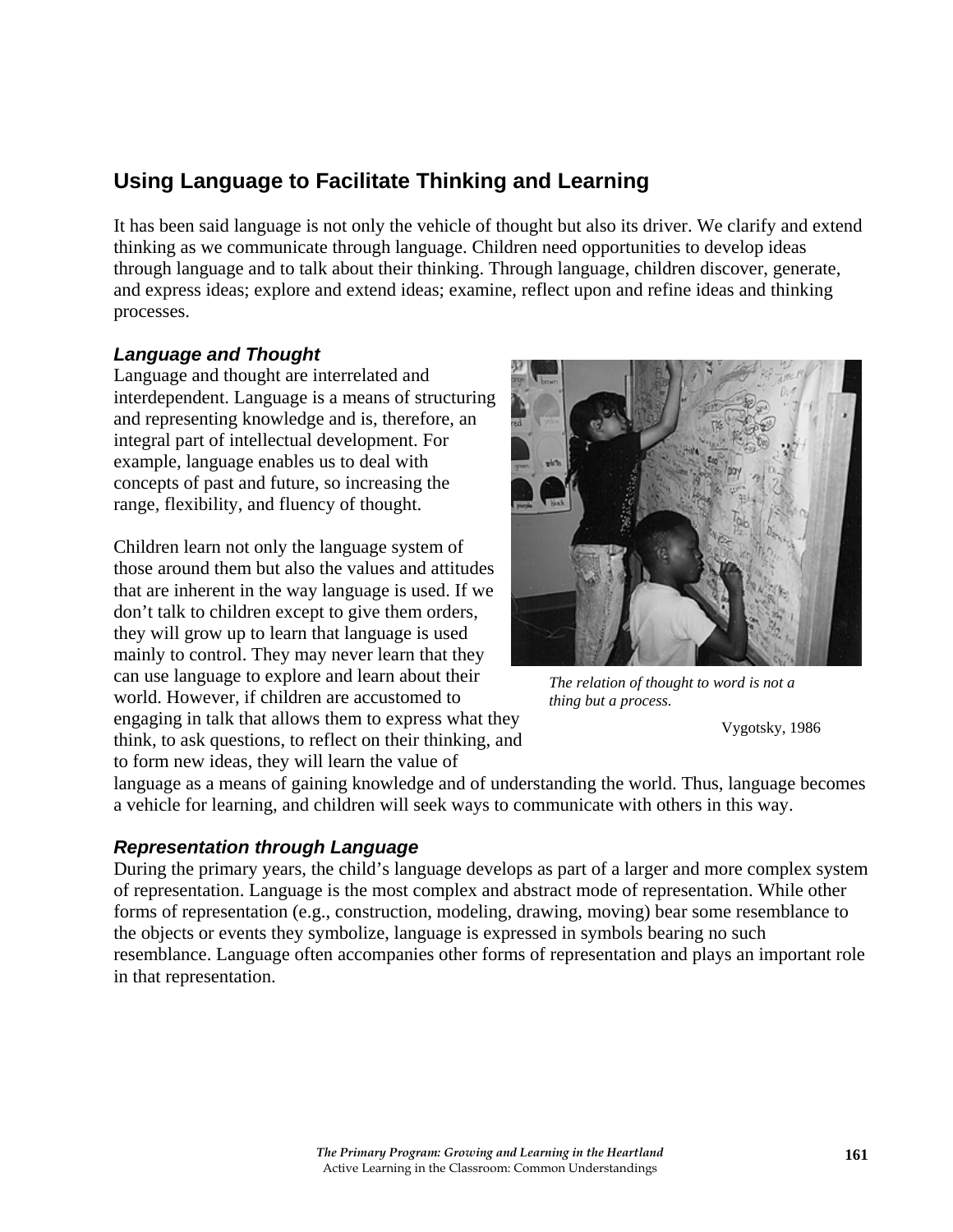# **Using Language to Facilitate Thinking and Learning**

It has been said language is not only the vehicle of thought but also its driver. We clarify and extend thinking as we communicate through language. Children need opportunities to develop ideas through language and to talk about their thinking. Through language, children discover, generate, and express ideas; explore and extend ideas; examine, reflect upon and refine ideas and thinking processes.

## *Language and Thought*

Language and thought are interrelated and interdependent. Language is a means of structuring and representing knowledge and is, therefore, an integral part of intellectual development. For example, language enables us to deal with concepts of past and future, so increasing the range, flexibility, and fluency of thought.

Children learn not only the language system of those around them but also the values and attitudes that are inherent in the way language is used. If we don't talk to children except to give them orders, they will grow up to learn that language is used mainly to control. They may never learn that they can use language to explore and learn about their world. However, if children are accustomed to engaging in talk that allows them to express what they think, to ask questions, to reflect on their thinking, and to form new ideas, they will learn the value of



*The relation of thought to word is not a thing but a process.* 

Vygotsky, 1986

language as a means of gaining knowledge and of understanding the world. Thus, language becomes a vehicle for learning, and children will seek ways to communicate with others in this way.

#### *Representation through Language*

During the primary years, the child's language develops as part of a larger and more complex system of representation. Language is the most complex and abstract mode of representation. While other forms of representation (e.g., construction, modeling, drawing, moving) bear some resemblance to the objects or events they symbolize, language is expressed in symbols bearing no such resemblance. Language often accompanies other forms of representation and plays an important role in that representation.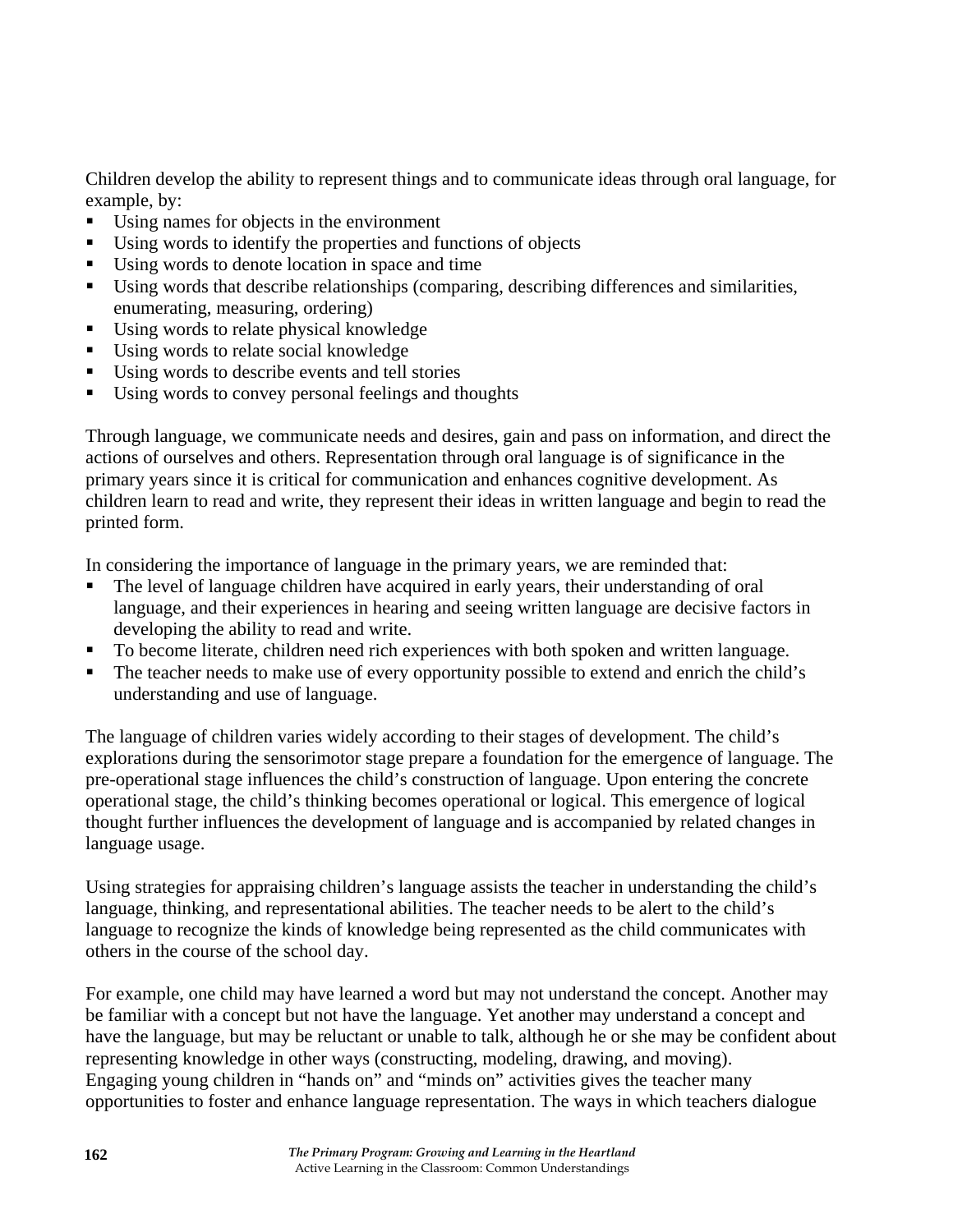Children develop the ability to represent things and to communicate ideas through oral language, for example, by:

- Using names for objects in the environment
- Using words to identify the properties and functions of objects
- Using words to denote location in space and time
- Using words that describe relationships (comparing, describing differences and similarities, enumerating, measuring, ordering)
- Using words to relate physical knowledge
- Using words to relate social knowledge
- Using words to describe events and tell stories
- Using words to convey personal feelings and thoughts

Through language, we communicate needs and desires, gain and pass on information, and direct the actions of ourselves and others. Representation through oral language is of significance in the primary years since it is critical for communication and enhances cognitive development. As children learn to read and write, they represent their ideas in written language and begin to read the printed form.

In considering the importance of language in the primary years, we are reminded that:

- The level of language children have acquired in early years, their understanding of oral language, and their experiences in hearing and seeing written language are decisive factors in developing the ability to read and write.
- To become literate, children need rich experiences with both spoken and written language.
- The teacher needs to make use of every opportunity possible to extend and enrich the child's understanding and use of language.

The language of children varies widely according to their stages of development. The child's explorations during the sensorimotor stage prepare a foundation for the emergence of language. The pre-operational stage influences the child's construction of language. Upon entering the concrete operational stage, the child's thinking becomes operational or logical. This emergence of logical thought further influences the development of language and is accompanied by related changes in language usage.

Using strategies for appraising children's language assists the teacher in understanding the child's language, thinking, and representational abilities. The teacher needs to be alert to the child's language to recognize the kinds of knowledge being represented as the child communicates with others in the course of the school day.

For example, one child may have learned a word but may not understand the concept. Another may be familiar with a concept but not have the language. Yet another may understand a concept and have the language, but may be reluctant or unable to talk, although he or she may be confident about representing knowledge in other ways (constructing, modeling, drawing, and moving). Engaging young children in "hands on" and "minds on" activities gives the teacher many opportunities to foster and enhance language representation. The ways in which teachers dialogue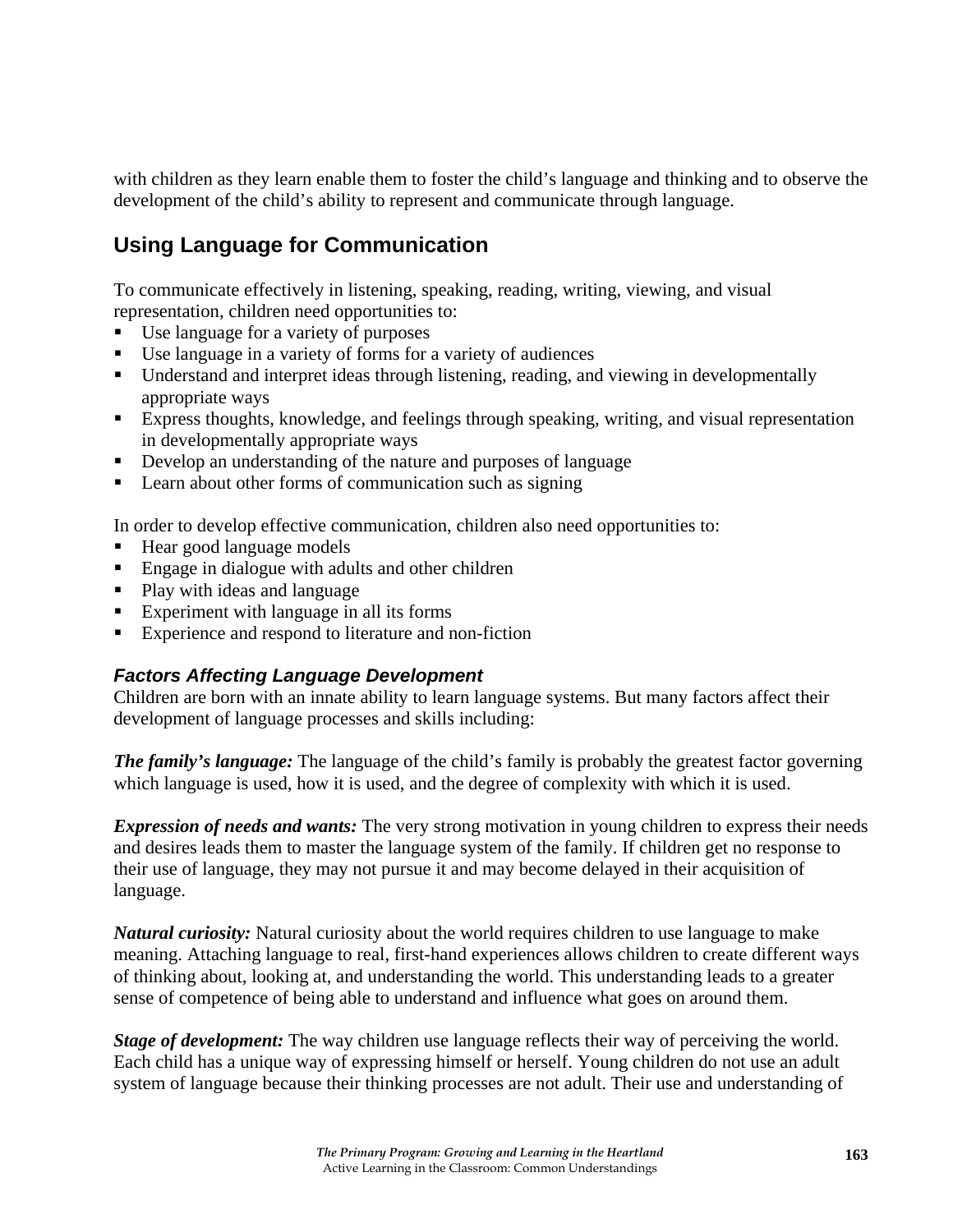with children as they learn enable them to foster the child's language and thinking and to observe the development of the child's ability to represent and communicate through language.

# **Using Language for Communication**

To communicate effectively in listening, speaking, reading, writing, viewing, and visual representation, children need opportunities to:

- Use language for a variety of purposes
- Use language in a variety of forms for a variety of audiences
- Understand and interpret ideas through listening, reading, and viewing in developmentally appropriate ways
- Express thoughts, knowledge, and feelings through speaking, writing, and visual representation in developmentally appropriate ways
- Develop an understanding of the nature and purposes of language
- **Learn about other forms of communication such as signing**

In order to develop effective communication, children also need opportunities to:

- Hear good language models
- Engage in dialogue with adults and other children
- Play with ideas and language
- Experiment with language in all its forms
- Experience and respond to literature and non-fiction

#### *Factors Affecting Language Development*

Children are born with an innate ability to learn language systems. But many factors affect their development of language processes and skills including:

*The family's language:* The language of the child's family is probably the greatest factor governing which language is used, how it is used, and the degree of complexity with which it is used.

*Expression of needs and wants:* The very strong motivation in young children to express their needs and desires leads them to master the language system of the family. If children get no response to their use of language, they may not pursue it and may become delayed in their acquisition of language.

*Natural curiosity:* Natural curiosity about the world requires children to use language to make meaning. Attaching language to real, first-hand experiences allows children to create different ways of thinking about, looking at, and understanding the world. This understanding leads to a greater sense of competence of being able to understand and influence what goes on around them.

*Stage of development:* The way children use language reflects their way of perceiving the world. Each child has a unique way of expressing himself or herself. Young children do not use an adult system of language because their thinking processes are not adult. Their use and understanding of